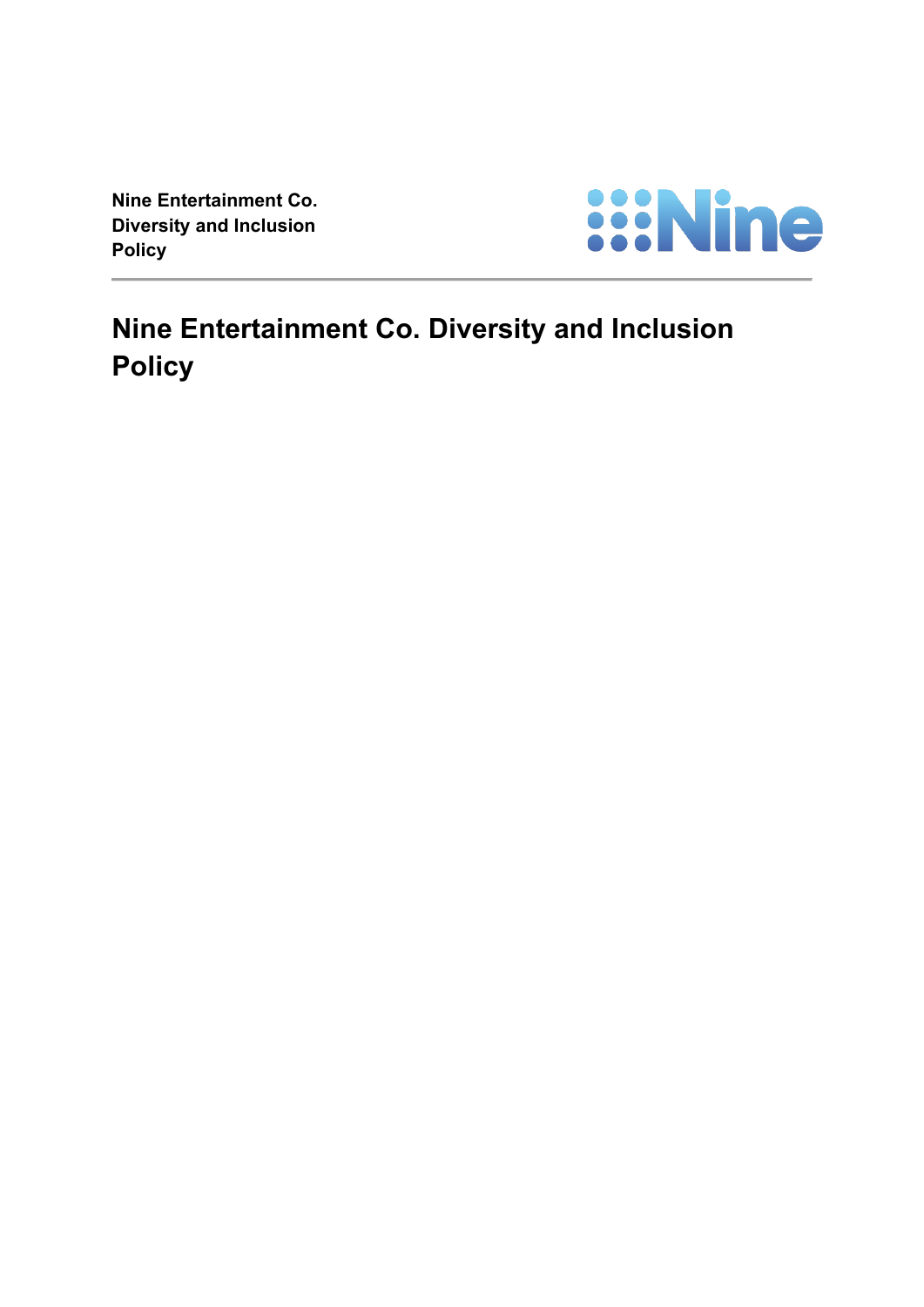**Nine Entertainment Co. Diversity and Inclusion Policy**



**Nine Entertainment Co. Diversity and Inclusion Policy**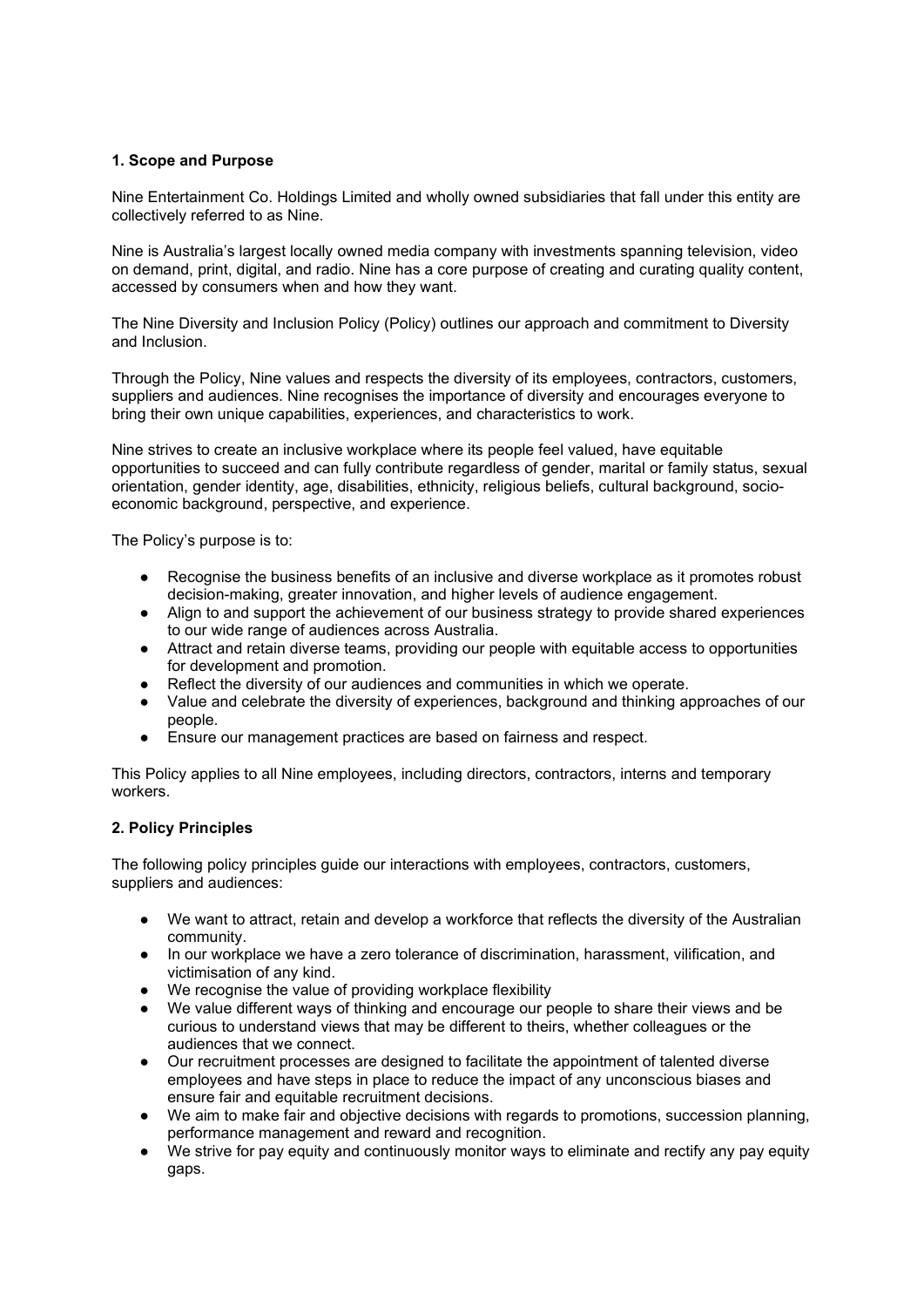# **1. Scope and Purpose**

Nine Entertainment Co. Holdings Limited and wholly owned subsidiaries that fall under this entity are collectively referred to as Nine.

Nine is Australia's largest locally owned media company with investments spanning television, video on demand, print, digital, and radio. Nine has a core purpose of creating and curating quality content, accessed by consumers when and how they want.

The Nine Diversity and Inclusion Policy (Policy) outlines our approach and commitment to Diversity and Inclusion.

Through the Policy, Nine values and respects the diversity of its employees, contractors, customers, suppliers and audiences. Nine recognises the importance of diversity and encourages everyone to bring their own unique capabilities, experiences, and characteristics to work.

Nine strives to create an inclusive workplace where its people feel valued, have equitable opportunities to succeed and can fully contribute regardless of gender, marital or family status, sexual orientation, gender identity, age, disabilities, ethnicity, religious beliefs, cultural background, socioeconomic background, perspective, and experience.

The Policy's purpose is to:

- Recognise the business benefits of an inclusive and diverse workplace as it promotes robust decision-making, greater innovation, and higher levels of audience engagement.
- Align to and support the achievement of our business strategy to provide shared experiences to our wide range of audiences across Australia.
- Attract and retain diverse teams, providing our people with equitable access to opportunities for development and promotion.
- Reflect the diversity of our audiences and communities in which we operate.
- Value and celebrate the diversity of experiences, background and thinking approaches of our people.
- Ensure our management practices are based on fairness and respect.

This Policy applies to all Nine employees, including directors, contractors, interns and temporary workers.

## **2. Policy Principles**

The following policy principles guide our interactions with employees, contractors, customers, suppliers and audiences:

- We want to attract, retain and develop a workforce that reflects the diversity of the Australian community.
- In our workplace we have a zero tolerance of discrimination, harassment, vilification, and victimisation of any kind.
- We recognise the value of providing workplace flexibility
- We value different ways of thinking and encourage our people to share their views and be curious to understand views that may be different to theirs, whether colleagues or the audiences that we connect.
- Our recruitment processes are designed to facilitate the appointment of talented diverse employees and have steps in place to reduce the impact of any unconscious biases and ensure fair and equitable recruitment decisions.
- We aim to make fair and objective decisions with regards to promotions, succession planning, performance management and reward and recognition.
- We strive for pay equity and continuously monitor ways to eliminate and rectify any pay equity gaps.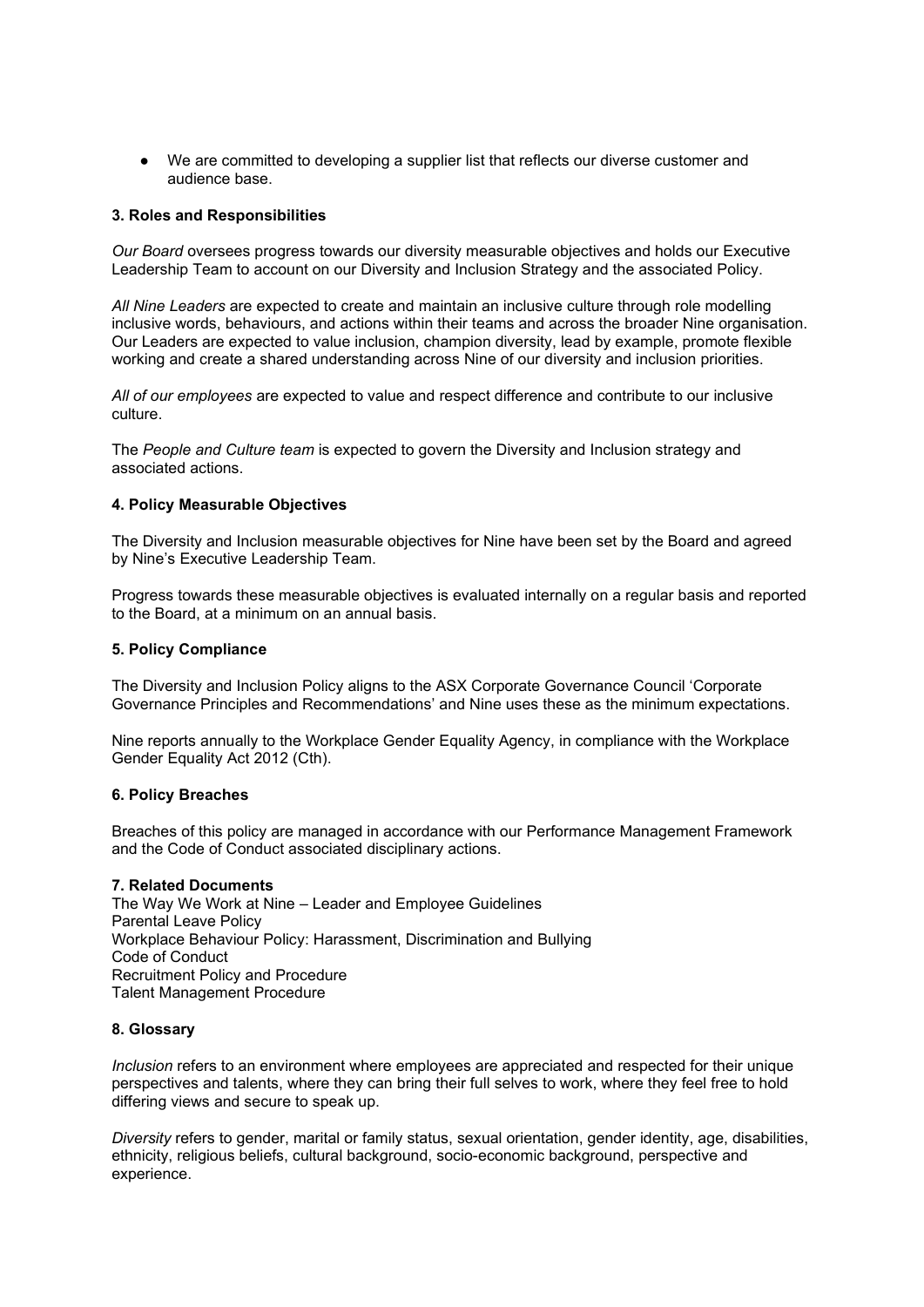● We are committed to developing a supplier list that reflects our diverse customer and audience base.

## **3. Roles and Responsibilities**

*Our Board* oversees progress towards our diversity measurable objectives and holds our Executive Leadership Team to account on our Diversity and Inclusion Strategy and the associated Policy.

*All Nine Leaders* are expected to create and maintain an inclusive culture through role modelling inclusive words, behaviours, and actions within their teams and across the broader Nine organisation. Our Leaders are expected to value inclusion, champion diversity, lead by example, promote flexible working and create a shared understanding across Nine of our diversity and inclusion priorities.

*All of our employees* are expected to value and respect difference and contribute to our inclusive culture.

The *People and Culture team* is expected to govern the Diversity and Inclusion strategy and associated actions.

## **4. Policy Measurable Objectives**

The Diversity and Inclusion measurable objectives for Nine have been set by the Board and agreed by Nine's Executive Leadership Team.

Progress towards these measurable objectives is evaluated internally on a regular basis and reported to the Board, at a minimum on an annual basis.

## **5. Policy Compliance**

The Diversity and Inclusion Policy aligns to the ASX Corporate Governance Council 'Corporate Governance Principles and Recommendations' and Nine uses these as the minimum expectations.

Nine reports annually to the Workplace Gender Equality Agency, in compliance with the Workplace Gender Equality Act 2012 (Cth).

## **6. Policy Breaches**

Breaches of this policy are managed in accordance with our Performance Management Framework and the Code of Conduct associated disciplinary actions.

## **7. Related Documents**

The Way We Work at Nine – Leader and Employee Guidelines Parental Leave Policy Workplace Behaviour Policy: Harassment, Discrimination and Bullying Code of Conduct Recruitment Policy and Procedure Talent Management Procedure

## **8. Glossary**

*Inclusion* refers to an environment where employees are appreciated and respected for their unique perspectives and talents, where they can bring their full selves to work, where they feel free to hold differing views and secure to speak up.

*Diversity* refers to gender, marital or family status, sexual orientation, gender identity, age, disabilities, ethnicity, religious beliefs, cultural background, socio-economic background, perspective and experience.